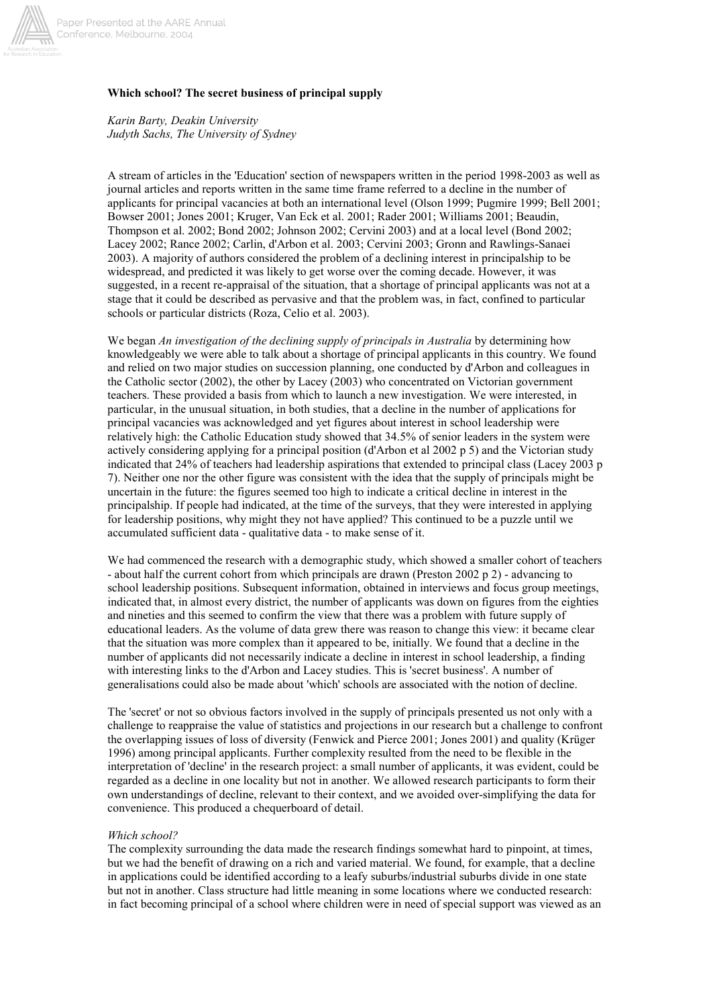

# **Which school? The secret business of principal supply**

*Karin Barty, Deakin University Judyth Sachs, The University of Sydney*

A stream of articles in the 'Education' section of newspapers written in the period 1998-2003 as well as journal articles and reports written in the same time frame referred to a decline in the number of applicants for principal vacancies at both an international level (Olson 1999; Pugmire 1999; Bell 2001; Bowser 2001; Jones 2001; Kruger, Van Eck et al. 2001; Rader 2001; Williams 2001; Beaudin, Thompson et al. 2002; Bond 2002; Johnson 2002; Cervini 2003) and at a local level (Bond 2002; Lacey 2002; Rance 2002; Carlin, d'Arbon et al. 2003; Cervini 2003; Gronn and Rawlings-Sanaei 2003). A majority of authors considered the problem of a declining interest in principalship to be widespread, and predicted it was likely to get worse over the coming decade. However, it was suggested, in a recent re-appraisal of the situation, that a shortage of principal applicants was not at a stage that it could be described as pervasive and that the problem was, in fact, confined to particular schools or particular districts (Roza, Celio et al. 2003).

We began *An investigation of the declining supply of principals in Australia* by determining how knowledgeably we were able to talk about a shortage of principal applicants in this country. We found and relied on two major studies on succession planning, one conducted by d'Arbon and colleagues in the Catholic sector (2002), the other by Lacey (2003) who concentrated on Victorian government teachers. These provided a basis from which to launch a new investigation. We were interested, in particular, in the unusual situation, in both studies, that a decline in the number of applications for principal vacancies was acknowledged and yet figures about interest in school leadership were relatively high: the Catholic Education study showed that 34.5% of senior leaders in the system were actively considering applying for a principal position (d'Arbon et al 2002 p 5) and the Victorian study indicated that 24% of teachers had leadership aspirations that extended to principal class (Lacey 2003 p 7). Neither one nor the other figure was consistent with the idea that the supply of principals might be uncertain in the future: the figures seemed too high to indicate a critical decline in interest in the principalship. If people had indicated, at the time of the surveys, that they were interested in applying for leadership positions, why might they not have applied? This continued to be a puzzle until we accumulated sufficient data - qualitative data - to make sense of it.

We had commenced the research with a demographic study, which showed a smaller cohort of teachers - about half the current cohort from which principals are drawn (Preston 2002 p 2) - advancing to school leadership positions. Subsequent information, obtained in interviews and focus group meetings, indicated that, in almost every district, the number of applicants was down on figures from the eighties and nineties and this seemed to confirm the view that there was a problem with future supply of educational leaders. As the volume of data grew there was reason to change this view: it became clear that the situation was more complex than it appeared to be, initially. We found that a decline in the number of applicants did not necessarily indicate a decline in interest in school leadership, a finding with interesting links to the d'Arbon and Lacey studies. This is 'secret business'. A number of generalisations could also be made about 'which' schools are associated with the notion of decline.

The 'secret' or not so obvious factors involved in the supply of principals presented us not only with a challenge to reappraise the value of statistics and projections in our research but a challenge to confront the overlapping issues of loss of diversity (Fenwick and Pierce 2001; Jones 2001) and quality (Krüger 1996) among principal applicants. Further complexity resulted from the need to be flexible in the interpretation of 'decline' in the research project: a small number of applicants, it was evident, could be regarded as a decline in one locality but not in another. We allowed research participants to form their own understandings of decline, relevant to their context, and we avoided over-simplifying the data for convenience. This produced a chequerboard of detail.

### *Which school?*

The complexity surrounding the data made the research findings somewhat hard to pinpoint, at times, but we had the benefit of drawing on a rich and varied material. We found, for example, that a decline in applications could be identified according to a leafy suburbs/industrial suburbs divide in one state but not in another. Class structure had little meaning in some locations where we conducted research: in fact becoming principal of a school where children were in need of special support was viewed as an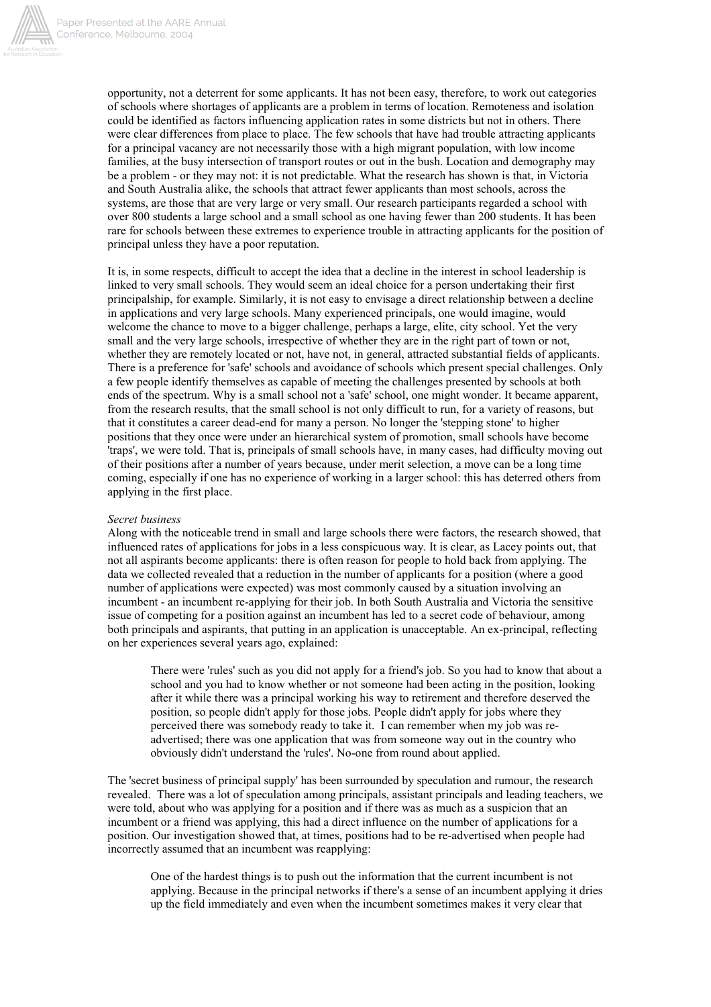

opportunity, not a deterrent for some applicants. It has not been easy, therefore, to work out categories of schools where shortages of applicants are a problem in terms of location. Remoteness and isolation could be identified as factors influencing application rates in some districts but not in others. There were clear differences from place to place. The few schools that have had trouble attracting applicants for a principal vacancy are not necessarily those with a high migrant population, with low income families, at the busy intersection of transport routes or out in the bush. Location and demography may be a problem - or they may not: it is not predictable. What the research has shown is that, in Victoria and South Australia alike, the schools that attract fewer applicants than most schools, across the systems, are those that are very large or very small. Our research participants regarded a school with over 800 students a large school and a small school as one having fewer than 200 students. It has been rare for schools between these extremes to experience trouble in attracting applicants for the position of principal unless they have a poor reputation.

It is, in some respects, difficult to accept the idea that a decline in the interest in school leadership is linked to very small schools. They would seem an ideal choice for a person undertaking their first principalship, for example. Similarly, it is not easy to envisage a direct relationship between a decline in applications and very large schools. Many experienced principals, one would imagine, would welcome the chance to move to a bigger challenge, perhaps a large, elite, city school. Yet the very small and the very large schools, irrespective of whether they are in the right part of town or not, whether they are remotely located or not, have not, in general, attracted substantial fields of applicants. There is a preference for 'safe' schools and avoidance of schools which present special challenges. Only a few people identify themselves as capable of meeting the challenges presented by schools at both ends of the spectrum. Why is a small school not a 'safe' school, one might wonder. It became apparent, from the research results, that the small school is not only difficult to run, for a variety of reasons, but that it constitutes a career dead-end for many a person. No longer the 'stepping stone' to higher positions that they once were under an hierarchical system of promotion, small schools have become 'traps', we were told. That is, principals of small schools have, in many cases, had difficulty moving out of their positions after a number of years because, under merit selection, a move can be a long time coming, especially if one has no experience of working in a larger school: this has deterred others from applying in the first place.

### *Secret business*

Along with the noticeable trend in small and large schools there were factors, the research showed, that influenced rates of applications for jobs in a less conspicuous way. It is clear, as Lacey points out, that not all aspirants become applicants: there is often reason for people to hold back from applying. The data we collected revealed that a reduction in the number of applicants for a position (where a good number of applications were expected) was most commonly caused by a situation involving an incumbent - an incumbent re-applying for their job. In both South Australia and Victoria the sensitive issue of competing for a position against an incumbent has led to a secret code of behaviour, among both principals and aspirants, that putting in an application is unacceptable. An ex-principal, reflecting on her experiences several years ago, explained:

There were 'rules' such as you did not apply for a friend's job. So you had to know that about a school and you had to know whether or not someone had been acting in the position, looking after it while there was a principal working his way to retirement and therefore deserved the position, so people didn't apply for those jobs. People didn't apply for jobs where they perceived there was somebody ready to take it. I can remember when my job was readvertised; there was one application that was from someone way out in the country who obviously didn't understand the 'rules'. No-one from round about applied.

The 'secret business of principal supply' has been surrounded by speculation and rumour, the research revealed. There was a lot of speculation among principals, assistant principals and leading teachers, we were told, about who was applying for a position and if there was as much as a suspicion that an incumbent or a friend was applying, this had a direct influence on the number of applications for a position. Our investigation showed that, at times, positions had to be re-advertised when people had incorrectly assumed that an incumbent was reapplying:

One of the hardest things is to push out the information that the current incumbent is not applying. Because in the principal networks if there's a sense of an incumbent applying it dries up the field immediately and even when the incumbent sometimes makes it very clear that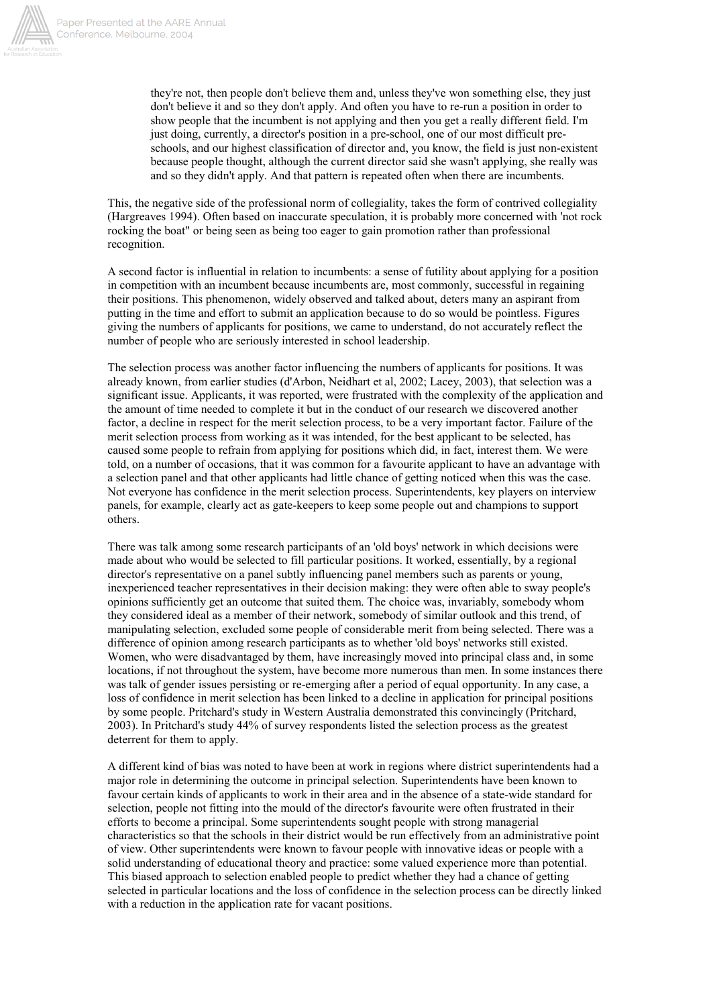

they're not, then people don't believe them and, unless they've won something else, they just don't believe it and so they don't apply. And often you have to re-run a position in order to show people that the incumbent is not applying and then you get a really different field. I'm just doing, currently, a director's position in a pre-school, one of our most difficult preschools, and our highest classification of director and, you know, the field is just non-existent because people thought, although the current director said she wasn't applying, she really was and so they didn't apply. And that pattern is repeated often when there are incumbents.

This, the negative side of the professional norm of collegiality, takes the form of contrived collegiality (Hargreaves 1994). Often based on inaccurate speculation, it is probably more concerned with 'not rock rocking the boat" or being seen as being too eager to gain promotion rather than professional recognition.

A second factor is influential in relation to incumbents: a sense of futility about applying for a position in competition with an incumbent because incumbents are, most commonly, successful in regaining their positions. This phenomenon, widely observed and talked about, deters many an aspirant from putting in the time and effort to submit an application because to do so would be pointless. Figures giving the numbers of applicants for positions, we came to understand, do not accurately reflect the number of people who are seriously interested in school leadership.

The selection process was another factor influencing the numbers of applicants for positions. It was already known, from earlier studies (d'Arbon, Neidhart et al, 2002; Lacey, 2003), that selection was a significant issue. Applicants, it was reported, were frustrated with the complexity of the application and the amount of time needed to complete it but in the conduct of our research we discovered another factor, a decline in respect for the merit selection process, to be a very important factor. Failure of the merit selection process from working as it was intended, for the best applicant to be selected, has caused some people to refrain from applying for positions which did, in fact, interest them. We were told, on a number of occasions, that it was common for a favourite applicant to have an advantage with a selection panel and that other applicants had little chance of getting noticed when this was the case. Not everyone has confidence in the merit selection process. Superintendents, key players on interview panels, for example, clearly act as gate-keepers to keep some people out and champions to support others.

There was talk among some research participants of an 'old boys' network in which decisions were made about who would be selected to fill particular positions. It worked, essentially, by a regional director's representative on a panel subtly influencing panel members such as parents or young, inexperienced teacher representatives in their decision making: they were often able to sway people's opinions sufficiently get an outcome that suited them. The choice was, invariably, somebody whom they considered ideal as a member of their network, somebody of similar outlook and this trend, of manipulating selection, excluded some people of considerable merit from being selected. There was a difference of opinion among research participants as to whether 'old boys' networks still existed. Women, who were disadvantaged by them, have increasingly moved into principal class and, in some locations, if not throughout the system, have become more numerous than men. In some instances there was talk of gender issues persisting or re-emerging after a period of equal opportunity. In any case, a loss of confidence in merit selection has been linked to a decline in application for principal positions by some people. Pritchard's study in Western Australia demonstrated this convincingly (Pritchard, 2003). In Pritchard's study 44% of survey respondents listed the selection process as the greatest deterrent for them to apply.

A different kind of bias was noted to have been at work in regions where district superintendents had a major role in determining the outcome in principal selection. Superintendents have been known to favour certain kinds of applicants to work in their area and in the absence of a state-wide standard for selection, people not fitting into the mould of the director's favourite were often frustrated in their efforts to become a principal. Some superintendents sought people with strong managerial characteristics so that the schools in their district would be run effectively from an administrative point of view. Other superintendents were known to favour people with innovative ideas or people with a solid understanding of educational theory and practice: some valued experience more than potential. This biased approach to selection enabled people to predict whether they had a chance of getting selected in particular locations and the loss of confidence in the selection process can be directly linked with a reduction in the application rate for vacant positions.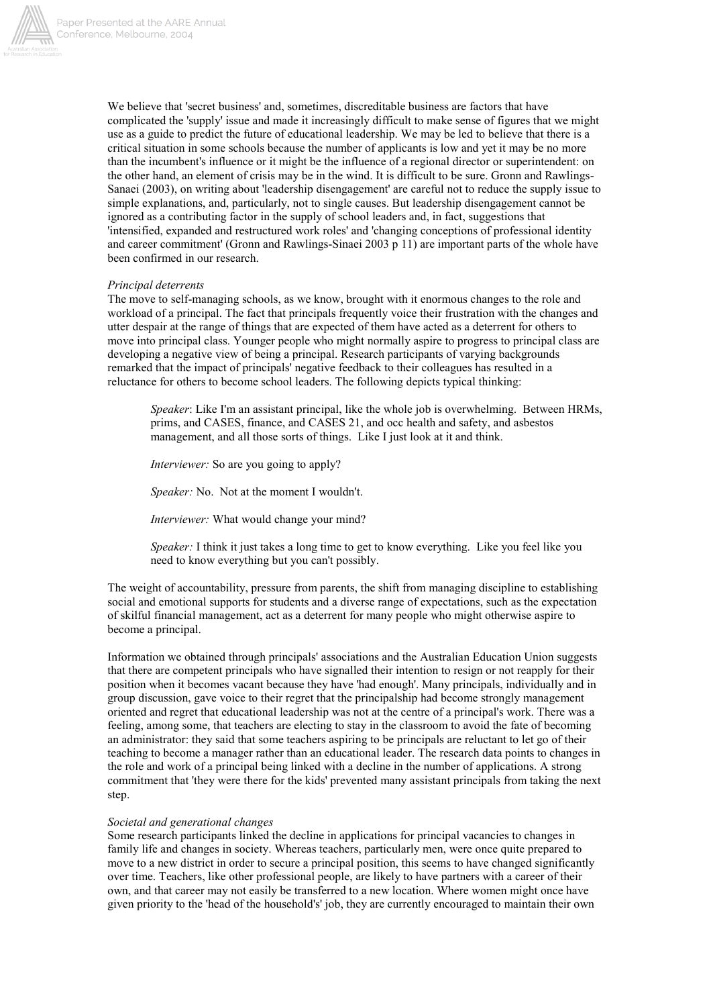

We believe that 'secret business' and, sometimes, discreditable business are factors that have complicated the 'supply' issue and made it increasingly difficult to make sense of figures that we might use as a guide to predict the future of educational leadership. We may be led to believe that there is a critical situation in some schools because the number of applicants is low and yet it may be no more than the incumbent's influence or it might be the influence of a regional director or superintendent: on the other hand, an element of crisis may be in the wind. It is difficult to be sure. Gronn and Rawlings-Sanaei (2003), on writing about 'leadership disengagement' are careful not to reduce the supply issue to simple explanations, and, particularly, not to single causes. But leadership disengagement cannot be ignored as a contributing factor in the supply of school leaders and, in fact, suggestions that 'intensified, expanded and restructured work roles' and 'changing conceptions of professional identity and career commitment' (Gronn and Rawlings-Sinaei 2003 p 11) are important parts of the whole have been confirmed in our research.

### *Principal deterrents*

The move to self-managing schools, as we know, brought with it enormous changes to the role and workload of a principal. The fact that principals frequently voice their frustration with the changes and utter despair at the range of things that are expected of them have acted as a deterrent for others to move into principal class. Younger people who might normally aspire to progress to principal class are developing a negative view of being a principal. Research participants of varying backgrounds remarked that the impact of principals' negative feedback to their colleagues has resulted in a reluctance for others to become school leaders. The following depicts typical thinking:

*Speaker*: Like I'm an assistant principal, like the whole job is overwhelming. Between HRMs, prims, and CASES, finance, and CASES 21, and occ health and safety, and asbestos management, and all those sorts of things. Like I just look at it and think.

*Interviewer:* So are you going to apply?

*Speaker:* No. Not at the moment I wouldn't.

*Interviewer:* What would change your mind?

*Speaker:* I think it just takes a long time to get to know everything. Like you feel like you need to know everything but you can't possibly.

The weight of accountability, pressure from parents, the shift from managing discipline to establishing social and emotional supports for students and a diverse range of expectations, such as the expectation of skilful financial management, act as a deterrent for many people who might otherwise aspire to become a principal.

Information we obtained through principals' associations and the Australian Education Union suggests that there are competent principals who have signalled their intention to resign or not reapply for their position when it becomes vacant because they have 'had enough'. Many principals, individually and in group discussion, gave voice to their regret that the principalship had become strongly management oriented and regret that educational leadership was not at the centre of a principal's work. There was a feeling, among some, that teachers are electing to stay in the classroom to avoid the fate of becoming an administrator: they said that some teachers aspiring to be principals are reluctant to let go of their teaching to become a manager rather than an educational leader. The research data points to changes in the role and work of a principal being linked with a decline in the number of applications. A strong commitment that 'they were there for the kids' prevented many assistant principals from taking the next step.

### *Societal and generational changes*

Some research participants linked the decline in applications for principal vacancies to changes in family life and changes in society. Whereas teachers, particularly men, were once quite prepared to move to a new district in order to secure a principal position, this seems to have changed significantly over time. Teachers, like other professional people, are likely to have partners with a career of their own, and that career may not easily be transferred to a new location. Where women might once have given priority to the 'head of the household's' job, they are currently encouraged to maintain their own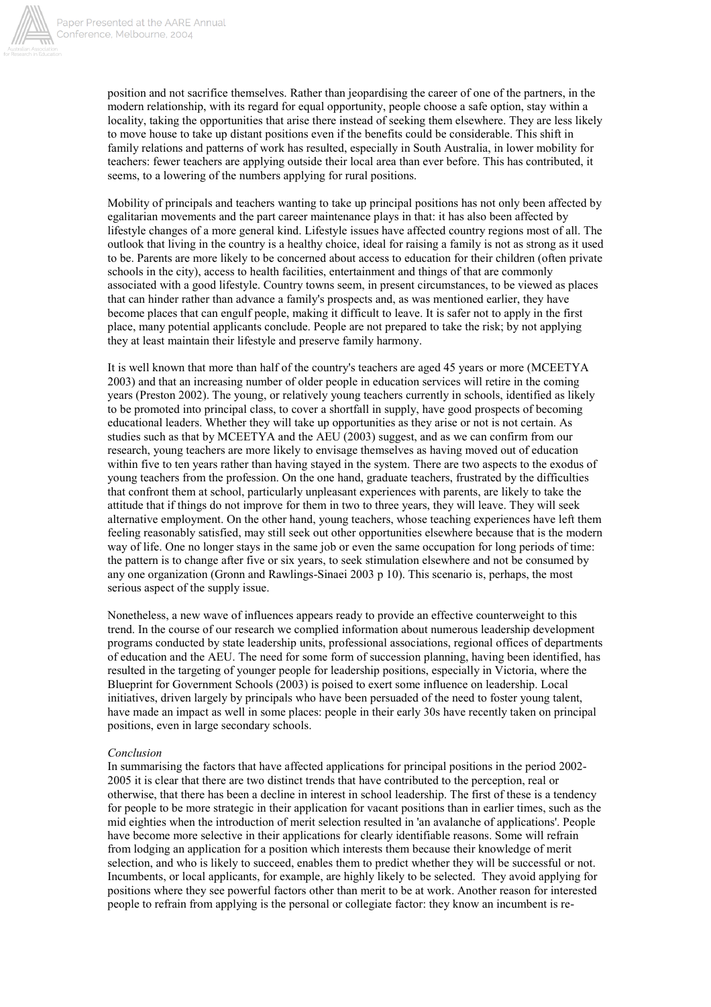

position and not sacrifice themselves. Rather than jeopardising the career of one of the partners, in the modern relationship, with its regard for equal opportunity, people choose a safe option, stay within a locality, taking the opportunities that arise there instead of seeking them elsewhere. They are less likely to move house to take up distant positions even if the benefits could be considerable. This shift in family relations and patterns of work has resulted, especially in South Australia, in lower mobility for teachers: fewer teachers are applying outside their local area than ever before. This has contributed, it seems, to a lowering of the numbers applying for rural positions.

Mobility of principals and teachers wanting to take up principal positions has not only been affected by egalitarian movements and the part career maintenance plays in that: it has also been affected by lifestyle changes of a more general kind. Lifestyle issues have affected country regions most of all. The outlook that living in the country is a healthy choice, ideal for raising a family is not as strong as it used to be. Parents are more likely to be concerned about access to education for their children (often private schools in the city), access to health facilities, entertainment and things of that are commonly associated with a good lifestyle. Country towns seem, in present circumstances, to be viewed as places that can hinder rather than advance a family's prospects and, as was mentioned earlier, they have become places that can engulf people, making it difficult to leave. It is safer not to apply in the first place, many potential applicants conclude. People are not prepared to take the risk; by not applying they at least maintain their lifestyle and preserve family harmony.

It is well known that more than half of the country's teachers are aged 45 years or more (MCEETYA 2003) and that an increasing number of older people in education services will retire in the coming years (Preston 2002). The young, or relatively young teachers currently in schools, identified as likely to be promoted into principal class, to cover a shortfall in supply, have good prospects of becoming educational leaders. Whether they will take up opportunities as they arise or not is not certain. As studies such as that by MCEETYA and the AEU (2003) suggest, and as we can confirm from our research, young teachers are more likely to envisage themselves as having moved out of education within five to ten years rather than having stayed in the system. There are two aspects to the exodus of young teachers from the profession. On the one hand, graduate teachers, frustrated by the difficulties that confront them at school, particularly unpleasant experiences with parents, are likely to take the attitude that if things do not improve for them in two to three years, they will leave. They will seek alternative employment. On the other hand, young teachers, whose teaching experiences have left them feeling reasonably satisfied, may still seek out other opportunities elsewhere because that is the modern way of life. One no longer stays in the same job or even the same occupation for long periods of time: the pattern is to change after five or six years, to seek stimulation elsewhere and not be consumed by any one organization (Gronn and Rawlings-Sinaei 2003 p 10). This scenario is, perhaps, the most serious aspect of the supply issue.

Nonetheless, a new wave of influences appears ready to provide an effective counterweight to this trend. In the course of our research we complied information about numerous leadership development programs conducted by state leadership units, professional associations, regional offices of departments of education and the AEU. The need for some form of succession planning, having been identified, has resulted in the targeting of younger people for leadership positions, especially in Victoria, where the Blueprint for Government Schools (2003) is poised to exert some influence on leadership. Local initiatives, driven largely by principals who have been persuaded of the need to foster young talent, have made an impact as well in some places: people in their early 30s have recently taken on principal positions, even in large secondary schools.

## *Conclusion*

In summarising the factors that have affected applications for principal positions in the period 2002- 2005 it is clear that there are two distinct trends that have contributed to the perception, real or otherwise, that there has been a decline in interest in school leadership. The first of these is a tendency for people to be more strategic in their application for vacant positions than in earlier times, such as the mid eighties when the introduction of merit selection resulted in 'an avalanche of applications'. People have become more selective in their applications for clearly identifiable reasons. Some will refrain from lodging an application for a position which interests them because their knowledge of merit selection, and who is likely to succeed, enables them to predict whether they will be successful or not. Incumbents, or local applicants, for example, are highly likely to be selected. They avoid applying for positions where they see powerful factors other than merit to be at work. Another reason for interested people to refrain from applying is the personal or collegiate factor: they know an incumbent is re-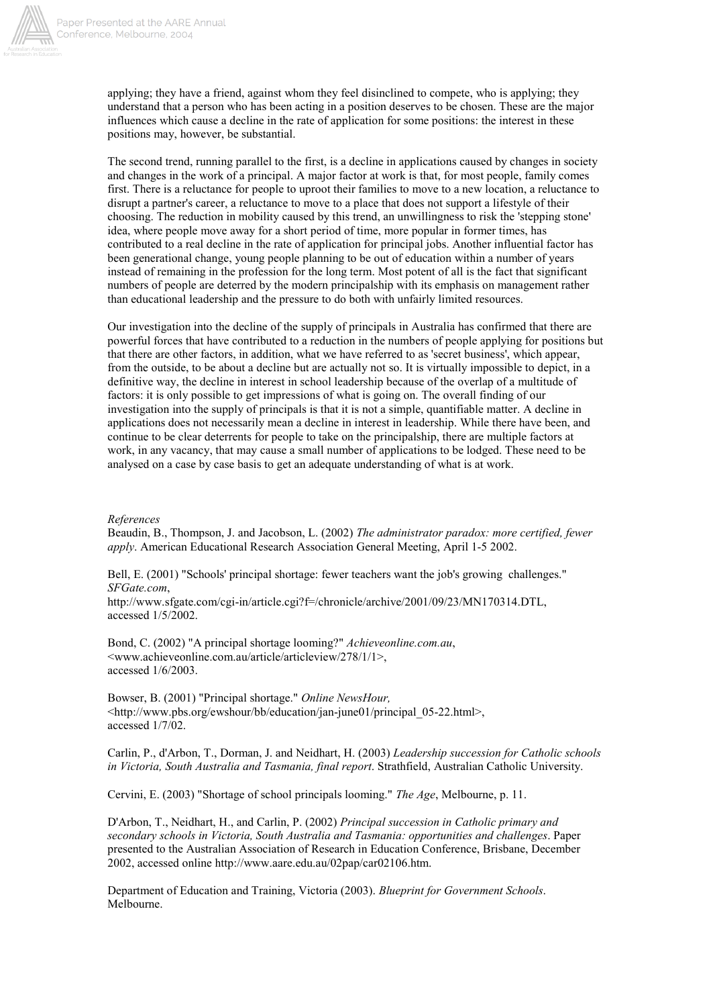

applying; they have a friend, against whom they feel disinclined to compete, who is applying; they understand that a person who has been acting in a position deserves to be chosen. These are the major influences which cause a decline in the rate of application for some positions: the interest in these positions may, however, be substantial.

The second trend, running parallel to the first, is a decline in applications caused by changes in society and changes in the work of a principal. A major factor at work is that, for most people, family comes first. There is a reluctance for people to uproot their families to move to a new location, a reluctance to disrupt a partner's career, a reluctance to move to a place that does not support a lifestyle of their choosing. The reduction in mobility caused by this trend, an unwillingness to risk the 'stepping stone' idea, where people move away for a short period of time, more popular in former times, has contributed to a real decline in the rate of application for principal jobs. Another influential factor has been generational change, young people planning to be out of education within a number of years instead of remaining in the profession for the long term. Most potent of all is the fact that significant numbers of people are deterred by the modern principalship with its emphasis on management rather than educational leadership and the pressure to do both with unfairly limited resources.

Our investigation into the decline of the supply of principals in Australia has confirmed that there are powerful forces that have contributed to a reduction in the numbers of people applying for positions but that there are other factors, in addition, what we have referred to as 'secret business', which appear, from the outside, to be about a decline but are actually not so. It is virtually impossible to depict, in a definitive way, the decline in interest in school leadership because of the overlap of a multitude of factors: it is only possible to get impressions of what is going on. The overall finding of our investigation into the supply of principals is that it is not a simple, quantifiable matter. A decline in applications does not necessarily mean a decline in interest in leadership. While there have been, and continue to be clear deterrents for people to take on the principalship, there are multiple factors at work, in any vacancy, that may cause a small number of applications to be lodged. These need to be analysed on a case by case basis to get an adequate understanding of what is at work.

### *References*

Beaudin, B., Thompson, J. and Jacobson, L. (2002) *The administrator paradox: more certified, fewer apply*. American Educational Research Association General Meeting, April 1-5 2002.

Bell, E. (2001) "Schools' principal shortage: fewer teachers want the job's growing challenges." *SFGate.com*,

http://www.sfgate.com/cgi-in/article.cgi?f=/chronicle/archive/2001/09/23/MN170314.DTL, accessed 1/5/2002.

Bond, C. (2002) "A principal shortage looming?" *Achieveonline.com.au*, <www.achieveonline.com.au/article/articleview/278/1/1>, accessed 1/6/2003.

Bowser, B. (2001) "Principal shortage." *Online NewsHour,* <http://www.pbs.org/ewshour/bb/education/jan-june01/principal\_05-22.html>, accessed 1/7/02.

Carlin, P., d'Arbon, T., Dorman, J. and Neidhart, H. (2003) *Leadership succession for Catholic schools in Victoria, South Australia and Tasmania, final report*. Strathfield, Australian Catholic University.

Cervini, E. (2003) "Shortage of school principals looming." *The Age*, Melbourne, p. 11.

D'Arbon, T., Neidhart, H., and Carlin, P. (2002) *Principal succession in Catholic primary and secondary schools in Victoria, South Australia and Tasmania: opportunities and challenges*. Paper presented to the Australian Association of Research in Education Conference, Brisbane, December 2002, accessed online http://www.aare.edu.au/02pap/car02106.htm.

Department of Education and Training, Victoria (2003). *Blueprint for Government Schools*. Melbourne.